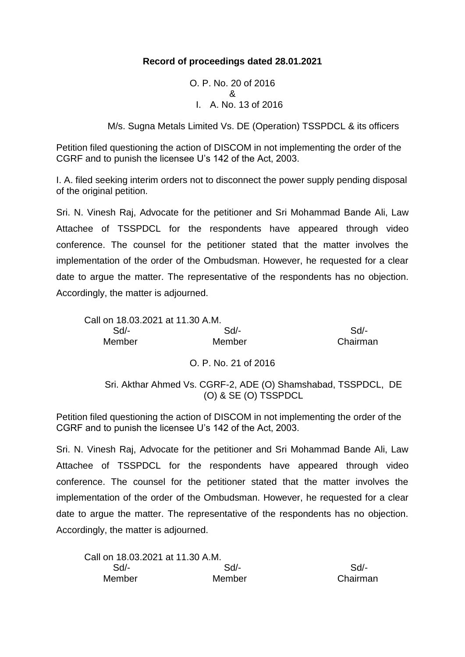## **Record of proceedings dated 28.01.2021**

O. P. No. 20 of 2016 & I. A. No. 13 of 2016

M/s. Sugna Metals Limited Vs. DE (Operation) TSSPDCL & its officers

Petition filed questioning the action of DISCOM in not implementing the order of the CGRF and to punish the licensee U's 142 of the Act, 2003.

I. A. filed seeking interim orders not to disconnect the power supply pending disposal of the original petition.

Sri. N. Vinesh Raj, Advocate for the petitioner and Sri Mohammad Bande Ali, Law Attachee of TSSPDCL for the respondents have appeared through video conference. The counsel for the petitioner stated that the matter involves the implementation of the order of the Ombudsman. However, he requested for a clear date to argue the matter. The representative of the respondents has no objection. Accordingly, the matter is adjourned.

| Call on 18.03.2021 at 11.30 A.M. |                                                                                       |          |
|----------------------------------|---------------------------------------------------------------------------------------|----------|
| $Sd$ -                           | Sd/-                                                                                  | Sd/-     |
| Member                           | Member                                                                                | Chairman |
|                                  | O. P. No. 21 of 2016                                                                  |          |
|                                  | Sri. Akthar Ahmed Vs. CGRF-2, ADE (O) Shamshabad, TSSPDCL, DE<br>(O) & SE (O) TSSPDCL |          |

Petition filed questioning the action of DISCOM in not implementing the order of the CGRF and to punish the licensee U's 142 of the Act, 2003.

Sri. N. Vinesh Raj, Advocate for the petitioner and Sri Mohammad Bande Ali, Law Attachee of TSSPDCL for the respondents have appeared through video conference. The counsel for the petitioner stated that the matter involves the implementation of the order of the Ombudsman. However, he requested for a clear date to argue the matter. The representative of the respondents has no objection. Accordingly, the matter is adjourned.

| Call on 18.03.2021 at 11.30 A.M. |        |          |
|----------------------------------|--------|----------|
| Sd/-                             | Sd/-   | Sd       |
| Member                           | Member | Chairman |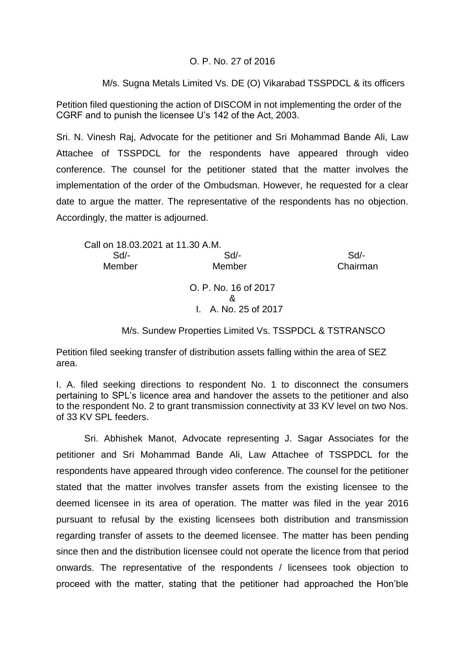## O. P. No. 27 of 2016

M/s. Sugna Metals Limited Vs. DE (O) Vikarabad TSSPDCL & its officers

Petition filed questioning the action of DISCOM in not implementing the order of the CGRF and to punish the licensee U's 142 of the Act, 2003.

Sri. N. Vinesh Raj, Advocate for the petitioner and Sri Mohammad Bande Ali, Law Attachee of TSSPDCL for the respondents have appeared through video conference. The counsel for the petitioner stated that the matter involves the implementation of the order of the Ombudsman. However, he requested for a clear date to argue the matter. The representative of the respondents has no objection. Accordingly, the matter is adjourned.

| Call on 18.03.2021 at 11.30 A.M. |                      |          |
|----------------------------------|----------------------|----------|
| Sd                               | Sd                   | Sd       |
| Member                           | Member               | Chairman |
|                                  | O. P. No. 16 of 2017 |          |
|                                  | ጼ                    |          |
|                                  | I. A. No. 25 of 2017 |          |

M/s. Sundew Properties Limited Vs. TSSPDCL & TSTRANSCO

Petition filed seeking transfer of distribution assets falling within the area of SEZ area.

I. A. filed seeking directions to respondent No. 1 to disconnect the consumers pertaining to SPL's licence area and handover the assets to the petitioner and also to the respondent No. 2 to grant transmission connectivity at 33 KV level on two Nos. of 33 KV SPL feeders.

Sri. Abhishek Manot, Advocate representing J. Sagar Associates for the petitioner and Sri Mohammad Bande Ali, Law Attachee of TSSPDCL for the respondents have appeared through video conference. The counsel for the petitioner stated that the matter involves transfer assets from the existing licensee to the deemed licensee in its area of operation. The matter was filed in the year 2016 pursuant to refusal by the existing licensees both distribution and transmission regarding transfer of assets to the deemed licensee. The matter has been pending since then and the distribution licensee could not operate the licence from that period onwards. The representative of the respondents / licensees took objection to proceed with the matter, stating that the petitioner had approached the Hon'ble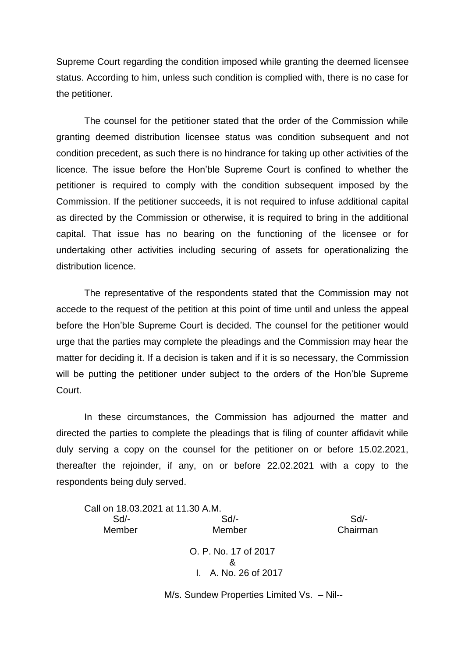Supreme Court regarding the condition imposed while granting the deemed licensee status. According to him, unless such condition is complied with, there is no case for the petitioner.

The counsel for the petitioner stated that the order of the Commission while granting deemed distribution licensee status was condition subsequent and not condition precedent, as such there is no hindrance for taking up other activities of the licence. The issue before the Hon'ble Supreme Court is confined to whether the petitioner is required to comply with the condition subsequent imposed by the Commission. If the petitioner succeeds, it is not required to infuse additional capital as directed by the Commission or otherwise, it is required to bring in the additional capital. That issue has no bearing on the functioning of the licensee or for undertaking other activities including securing of assets for operationalizing the distribution licence.

The representative of the respondents stated that the Commission may not accede to the request of the petition at this point of time until and unless the appeal before the Hon'ble Supreme Court is decided. The counsel for the petitioner would urge that the parties may complete the pleadings and the Commission may hear the matter for deciding it. If a decision is taken and if it is so necessary, the Commission will be putting the petitioner under subject to the orders of the Hon'ble Supreme Court.

In these circumstances, the Commission has adjourned the matter and directed the parties to complete the pleadings that is filing of counter affidavit while duly serving a copy on the counsel for the petitioner on or before 15.02.2021, thereafter the rejoinder, if any, on or before 22.02.2021 with a copy to the respondents being duly served.

Call on 18.03.2021 at 11.30 A.M. Sd/- Sd/- Sd/- Member Member Chairman O. P. No. 17 of 2017 & I. A. No. 26 of 2017

M/s. Sundew Properties Limited Vs. – Nil--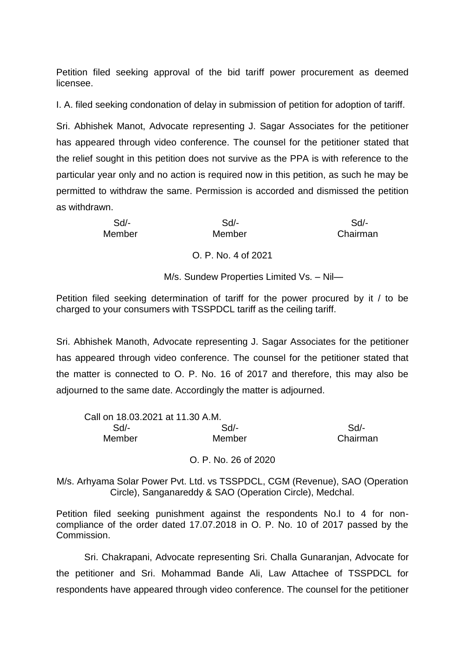Petition filed seeking approval of the bid tariff power procurement as deemed licensee.

I. A. filed seeking condonation of delay in submission of petition for adoption of tariff.

Sri. Abhishek Manot, Advocate representing J. Sagar Associates for the petitioner has appeared through video conference. The counsel for the petitioner stated that the relief sought in this petition does not survive as the PPA is with reference to the particular year only and no action is required now in this petition, as such he may be permitted to withdraw the same. Permission is accorded and dismissed the petition as withdrawn.

| Sd/-   | Sd                  | $Sd$ -   |
|--------|---------------------|----------|
| Member | Member              | Chairman |
|        | O. P. No. 4 of 2021 |          |

M/s. Sundew Properties Limited Vs. – Nil—

Petition filed seeking determination of tariff for the power procured by it / to be charged to your consumers with TSSPDCL tariff as the ceiling tariff.

Sri. Abhishek Manoth, Advocate representing J. Sagar Associates for the petitioner has appeared through video conference. The counsel for the petitioner stated that the matter is connected to O. P. No. 16 of 2017 and therefore, this may also be adjourned to the same date. Accordingly the matter is adjourned.

| Call on 18.03.2021 at 11.30 A.M. |        |          |
|----------------------------------|--------|----------|
| Sd/-                             | Sd/-   | $Sd/$ -  |
| Member                           | Member | Chairman |

O. P. No. 26 of 2020

M/s. Arhyama Solar Power Pvt. Ltd. vs TSSPDCL, CGM (Revenue), SAO (Operation Circle), Sanganareddy & SAO (Operation Circle), Medchal.

Petition filed seeking punishment against the respondents No.l to 4 for noncompliance of the order dated 17.07.2018 in O. P. No. 10 of 2017 passed by the Commission.

Sri. Chakrapani, Advocate representing Sri. Challa Gunaranjan, Advocate for the petitioner and Sri. Mohammad Bande Ali, Law Attachee of TSSPDCL for respondents have appeared through video conference. The counsel for the petitioner